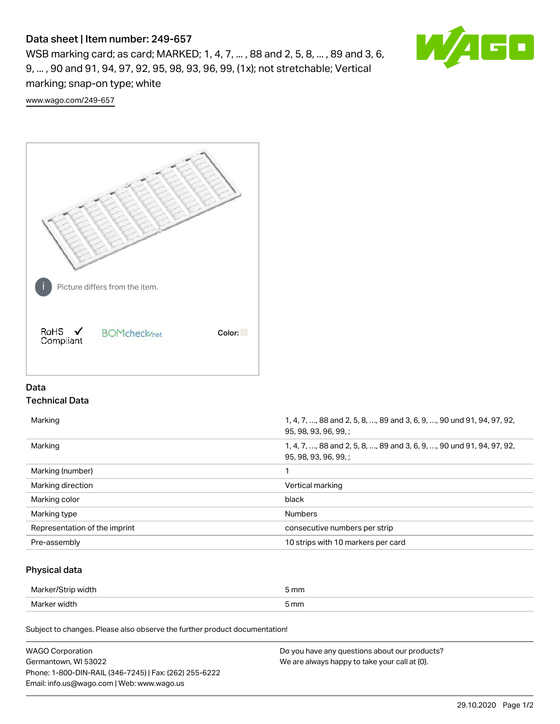# Data sheet | Item number: 249-657

WSB marking card; as card; MARKED; 1, 4, 7, ... , 88 and 2, 5, 8, ... , 89 and 3, 6, 9, ... , 90 and 91, 94, 97, 92, 95, 98, 93, 96, 99, (1x); not stretchable; Vertical marking; snap-on type; white

GO WA

[www.wago.com/249-657](http://www.wago.com/249-657)



# Data Technical Data

| Marking                       | 1, 4, 7, , 88 and 2, 5, 8, , 89 and 3, 6, 9, , 90 und 91, 94, 97, 92,<br>95, 98, 93, 96, 99, ; |
|-------------------------------|------------------------------------------------------------------------------------------------|
| Marking                       | 1, 4, 7, , 88 and 2, 5, 8, , 89 and 3, 6, 9, , 90 und 91, 94, 97, 92,<br>95, 98, 93, 96, 99, ; |
| Marking (number)              |                                                                                                |
| Marking direction             | Vertical marking                                                                               |
| Marking color                 | black                                                                                          |
| Marking type                  | <b>Numbers</b>                                                                                 |
| Representation of the imprint | consecutive numbers per strip                                                                  |
| Pre-assembly                  | 10 strips with 10 markers per card                                                             |

## Physical data

| Marker/St<br>, width | 5 mm |
|----------------------|------|
| Marker width         | 5 mm |

Subject to changes. Please also observe the further product documentation!

| <b>WAGO Corporation</b>                                | Do you have any questions about our products? |
|--------------------------------------------------------|-----------------------------------------------|
| Germantown, WI 53022                                   | We are always happy to take your call at {0}. |
| Phone: 1-800-DIN-RAIL (346-7245)   Fax: (262) 255-6222 |                                               |
| Email: info.us@wago.com   Web: www.wago.us             |                                               |